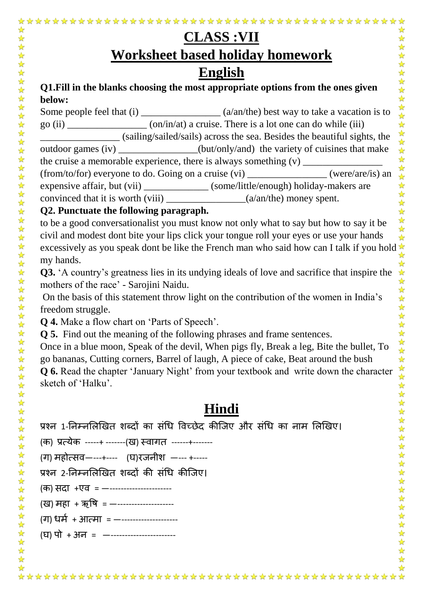| Worksheet based holiday homework<br><b>English</b><br>Q1. Fill in the blanks choosing the most appropriate options from the ones given<br>below:                                                                                                                                                                                                                                                                                                                                                                                                                                                                                                                                                                                                                                                                                                                                                                                                                                                      |  |
|-------------------------------------------------------------------------------------------------------------------------------------------------------------------------------------------------------------------------------------------------------------------------------------------------------------------------------------------------------------------------------------------------------------------------------------------------------------------------------------------------------------------------------------------------------------------------------------------------------------------------------------------------------------------------------------------------------------------------------------------------------------------------------------------------------------------------------------------------------------------------------------------------------------------------------------------------------------------------------------------------------|--|
|                                                                                                                                                                                                                                                                                                                                                                                                                                                                                                                                                                                                                                                                                                                                                                                                                                                                                                                                                                                                       |  |
|                                                                                                                                                                                                                                                                                                                                                                                                                                                                                                                                                                                                                                                                                                                                                                                                                                                                                                                                                                                                       |  |
|                                                                                                                                                                                                                                                                                                                                                                                                                                                                                                                                                                                                                                                                                                                                                                                                                                                                                                                                                                                                       |  |
| go (ii) ________________ (on/in/at) a cruise. There is a lot one can do while (iii)<br>(sailing/sailed/sails) across the sea. Besides the beautiful sights, the<br>outdoor games (iv) ____________(but/only/and) the variety of cuisines that make<br>the cruise a memorable experience, there is always something (v) ________________<br>(from/to/for) everyone to do. Going on a cruise (vi) _______________ (were/are/is) an<br>expensive affair, but (vii) _____________ (some/little/enough) holiday-makers are<br>convinced that it is worth $(viii)$ ________________( $a/an/the$ ) money spent.                                                                                                                                                                                                                                                                                                                                                                                              |  |
| Q2. Punctuate the following paragraph.                                                                                                                                                                                                                                                                                                                                                                                                                                                                                                                                                                                                                                                                                                                                                                                                                                                                                                                                                                |  |
| to be a good conversationalist you must know not only what to say but how to say it be<br>civil and modest dont bite your lips click your tongue roll your eyes or use your hands<br>excessively as you speak dont be like the French man who said how can I talk if you hold<br>my hands.<br>Q3. 'A country's greatness lies in its undying ideals of love and sacrifice that inspire the<br>mothers of the race' - Sarojini Naidu.<br>On the basis of this statement throw light on the contribution of the women in India's<br>freedom struggle.<br><b>Q 4.</b> Make a flow chart on 'Parts of Speech'.<br><b>Q 5.</b> Find out the meaning of the following phrases and frame sentences.<br>Once in a blue moon, Speak of the devil, When pigs fly, Break a leg, Bite the bullet, To<br>go bananas, Cutting corners, Barrel of laugh, A piece of cake, Beat around the bush<br><b>Q 6.</b> Read the chapter 'January Night' from your textbook and write down the character<br>sketch of 'Halku'. |  |
| Hindi                                                                                                                                                                                                                                                                                                                                                                                                                                                                                                                                                                                                                                                                                                                                                                                                                                                                                                                                                                                                 |  |
| प्रश्न 1-निम्नलिखित शब्दों का संधि विच्छेद कीजिए और संधि का नाम लिखिए।                                                                                                                                                                                                                                                                                                                                                                                                                                                                                                                                                                                                                                                                                                                                                                                                                                                                                                                                |  |
| (क) प्रत्येक -----+ -------(ख) स्वागत ------+-------                                                                                                                                                                                                                                                                                                                                                                                                                                                                                                                                                                                                                                                                                                                                                                                                                                                                                                                                                  |  |
| (ग) महोत्सव—---+---- (घ)रजनीश —--- +-----                                                                                                                                                                                                                                                                                                                                                                                                                                                                                                                                                                                                                                                                                                                                                                                                                                                                                                                                                             |  |
| प्रश्न 2-निम्नलिखित शब्दों की संधि कीजिए।                                                                                                                                                                                                                                                                                                                                                                                                                                                                                                                                                                                                                                                                                                                                                                                                                                                                                                                                                             |  |
| (क) सदा +एव = —----------------------                                                                                                                                                                                                                                                                                                                                                                                                                                                                                                                                                                                                                                                                                                                                                                                                                                                                                                                                                                 |  |
| (ख) महा + ऋषि = ---------------------                                                                                                                                                                                                                                                                                                                                                                                                                                                                                                                                                                                                                                                                                                                                                                                                                                                                                                                                                                 |  |
| (ग) धर्म + आत्मा = ---------------------                                                                                                                                                                                                                                                                                                                                                                                                                                                                                                                                                                                                                                                                                                                                                                                                                                                                                                                                                              |  |
| (घ) पो + अन = —-----------------------                                                                                                                                                                                                                                                                                                                                                                                                                                                                                                                                                                                                                                                                                                                                                                                                                                                                                                                                                                |  |
|                                                                                                                                                                                                                                                                                                                                                                                                                                                                                                                                                                                                                                                                                                                                                                                                                                                                                                                                                                                                       |  |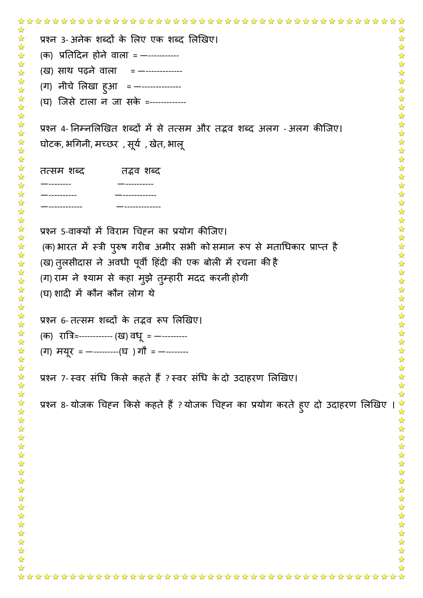|                                   | प्रश्न 3-अनेक शब्दों के लिए एक शब्द लिखिए।                                         |
|-----------------------------------|------------------------------------------------------------------------------------|
|                                   | (क) प्रतिदिन होने वाला = —-----------                                              |
|                                   | (ख) साथ पढ़ने वाला = --------------                                                |
|                                   | (ग) नीचे लिखा हुआ = –--------------                                                |
|                                   | (घ) जिसे टाला न जा सके =-------------                                              |
|                                   | प्रश्न 4- निम्नलिखित शब्दों में से तत्सम और तद्भव शब्द अलग -अलग कीजिए।             |
|                                   | घोटक, भगिनी, मच्छर), सूर्य), खेत, भालू                                             |
| तत्सम शब्द             तद्भव शब्द |                                                                                    |
|                                   |                                                                                    |
|                                   |                                                                                    |
|                                   | प्रश्न 5-वाक्यों में विराम चिहन का प्रयोग कीजिए।                                   |
|                                   | (क) भारत में स्त्री पुरुष गरीब अमीर सभी को समान रूप से मताधिकार प्राप्त है         |
|                                   | (ख) तुलसीदास ने अवधी पूर्वी हिंदी की एक बोली में रचना की है                        |
|                                   | (ग) राम ने श्याम से कहा मुझे तुम्हारी मदद करनी होगी                                |
| (घ) शादी में कौन कौन लोग थे       |                                                                                    |
|                                   | प्रश्न 6-तत्सम शब्दों के तद्भव रूप लिखिए।                                          |
|                                   | (क)   रात्रि=------------ (ख) वध्  = —---------                                    |
|                                   | (ग) मयूर = ----------(घ) गौ = ---------                                            |
|                                   | प्रश्न 7-स्वर संधि किसे कहते हैं ?स्वर संधि के दो उदाहरण लिखिए।                    |
|                                   | प्रश्न 8- योजक चिह्न किसे कहते हैं ? योजक चिह्न का प्रयोग करते हुए दो उदाहरण लिखिए |
|                                   |                                                                                    |
|                                   |                                                                                    |
|                                   |                                                                                    |
|                                   |                                                                                    |
|                                   |                                                                                    |
|                                   |                                                                                    |
|                                   |                                                                                    |
|                                   |                                                                                    |
|                                   |                                                                                    |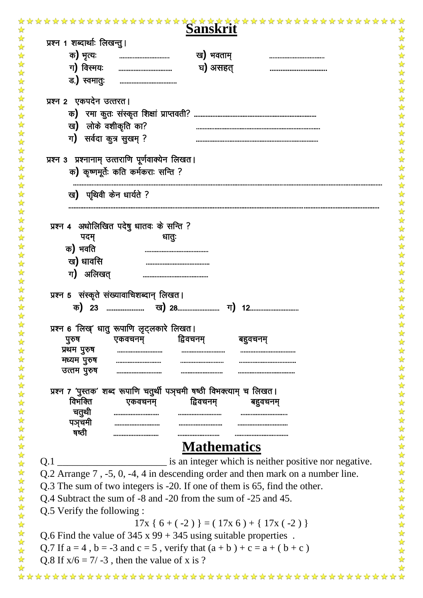| 琴琴                                           | प्रश्न 1 शब्दार्थाः लिखन्तु।                                                             |                                     |
|----------------------------------------------|------------------------------------------------------------------------------------------|-------------------------------------|
| $\frac{1}{2}$                                | क) भृत्यः<br>ख) भवताम्                                                                   |                                     |
| $\frac{1}{2}$                                | ग) विस्मयः<br>घ) असहत्<br>                                                               |                                     |
| $\frac{1}{2}$                                | ड.) स्वमातुः                                                                             |                                     |
| $\frac{1}{2}$<br>$\frac{1}{\sqrt{2}}$        |                                                                                          |                                     |
| $\frac{1}{\sqrt{2}}$                         | प्रश्न २ एकपदेन उत्तरत।                                                                  |                                     |
| $\frac{1}{\sqrt{2}}$<br>$\frac{1}{\sqrt{2}}$ |                                                                                          |                                     |
| ☆                                            | ख) लोके वशीकृति का?                                                                      |                                     |
| 学科                                           | ग) सर्वदा कुत्र सुखम् ?                                                                  |                                     |
| ☆                                            |                                                                                          |                                     |
| ☆                                            | प्रश्न 3 प्रश्नानाम् उत्तराणि पूर्णवाक्येन लिखत।                                         |                                     |
| $\frac{1}{2}$                                | क) कृष्णमूर्तेः कति कर्मकराः सन्ति ?                                                     |                                     |
| $\frac{1}{2}$<br>$\frac{1}{\sqrt{2}}$        |                                                                                          | ☆☆☆☆☆☆☆☆☆☆☆☆☆☆☆☆☆☆☆☆☆☆☆☆☆☆☆☆☆☆☆☆☆☆☆ |
| $\frac{1}{\sqrt{2}}$                         | ख) पृथिवी केन धार्यते ?                                                                  |                                     |
| $\frac{1}{\sqrt{2}}$                         |                                                                                          |                                     |
| $\frac{1}{\sqrt{2}}$<br>$\frac{1}{\sqrt{2}}$ |                                                                                          |                                     |
| $\frac{1}{\sqrt{2}}$                         | प्रश्न 4 अधोलिखित पदेषु धातवः के सन्ति ?                                                 |                                     |
| $\frac{1}{\sqrt{2}}$                         | पदम्<br>धातुः                                                                            |                                     |
| ☆<br>$\frac{1}{\sqrt{2}}$                    | क) भवति                                                                                  |                                     |
| $\frac{1}{\sqrt{2}}$                         | ख) धावसि                                                                                 |                                     |
| $\frac{1}{\sqrt{2}}$<br>$\frac{1}{\sqrt{2}}$ | ग) अलिखत्                                                                                |                                     |
| $\frac{1}{\sqrt{2}}$                         |                                                                                          |                                     |
| $\frac{1}{\sqrt{2}}$                         | प्रश्न 5 संस्कृते संख्यावाचिशब्दान् लिखत।                                                |                                     |
| ☆<br>$\frac{1}{\sqrt{2}}$                    | क) 23  ख) 28 ग) 12                                                                       |                                     |
| $\frac{1}{\sqrt{2}}$                         |                                                                                          |                                     |
|                                              | प्रश्न 6 'लिख्' धातु रूपाणि लृट्लकारे लिखत।<br>द्विवचनम्<br>पुरुष<br>एकवचनम्<br>बहुवचनम् |                                     |
| ☆                                            | प्रथम पुरुष                                                                              | ☆                                   |
|                                              | मध्यम पुरुष                                                                              |                                     |
| $\frac{1}{2}$                                | उत्तम पुरुष                                                                              |                                     |
| $\frac{1}{\sqrt{2}}$<br>$\frac{1}{2}$        |                                                                                          |                                     |
| $\frac{1}{2}$                                | प्रश्न 7 'पुस्तक' शब्द रूपाणि चतुर्थी पञ् <b>चमी षष्ठी विभक्त्याम् च लिखत</b> ।          |                                     |
| $\frac{1}{\sqrt{2}}$                         | विभक्ति<br>द्विवचनम्<br>एकवचनम्<br>बहुवचनम्                                              |                                     |
| $\frac{1}{\sqrt{2}}$<br>$\frac{1}{2}$        | चतुथी                                                                                    |                                     |
| $\frac{1}{\sqrt{2}}$                         | पञ्चमी<br>षष्ठी                                                                          |                                     |
| $\frac{1}{\sqrt{2}}$<br>$\frac{1}{\sqrt{2}}$ |                                                                                          |                                     |
| $\frac{1}{\sqrt{2}}$                         | <b>Mathematics</b>                                                                       |                                     |
| ☆                                            | is an integer which is neither positive nor negative.<br>Q.1                             |                                     |
| 25 25 25                                     | Q.2 Arrange 7, -5, 0, -4, 4 in descending order and then mark on a number line.          |                                     |
|                                              | Q.3 The sum of two integers is -20. If one of them is 65, find the other.                |                                     |
|                                              | Q.4 Subtract the sum of -8 and -20 from the sum of -25 and 45.                           |                                     |
| 琴琴琴                                          | Q.5 Verify the following :                                                               |                                     |
| $\frac{1}{2}$                                | $17x \{ 6 + (-2) \} = (17x 6) + \{ 17x (-2) \}$                                          |                                     |
| 琴琴琴                                          | Q.6 Find the value of $345 \times 99 + 345$ using suitable properties.                   | ☆☆☆☆☆☆☆☆☆☆☆☆☆☆☆☆☆☆☆☆☆☆☆☆☆☆          |
|                                              | Q.7 If $a = 4$ , $b = -3$ and $c = 5$ , verify that $(a + b) + c = a + (b + c)$          |                                     |
| 华华                                           | Q.8 If $x/6 = 7/ -3$ , then the value of x is ?                                          |                                     |
|                                              |                                                                                          |                                     |
|                                              |                                                                                          |                                     |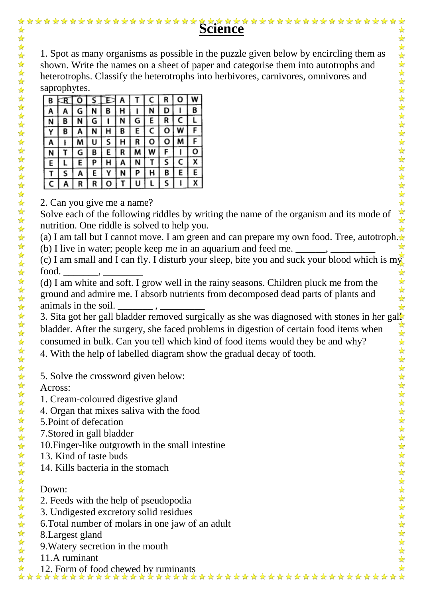1. Spot as many organisms as possible in the puzzle given below by encircling them as shown. Write the names on a sheet of paper and categorise them into autotrophs and heterotrophs. Classify the heterotrophs into herbivores, carnivores, omnivores and saprophytes.

| - |   | - |    |   |              |   |   |   |   |   |   |
|---|---|---|----|---|--------------|---|---|---|---|---|---|
|   |   |   |    |   |              | A |   |   |   |   |   |
|   |   |   | G. |   | в            |   |   |   |   |   |   |
|   |   | B |    | G |              |   | G | E |   |   |   |
|   |   | B |    |   |              | B |   |   |   |   |   |
|   |   |   |    |   |              |   | R |   |   |   |   |
|   |   |   | G. | В | Ε            | R |   |   |   |   |   |
|   | E |   |    |   | M            |   |   |   |   |   |   |
|   |   |   | А  | E |              |   | Р | н | B | Ł | E |
|   |   |   |    |   | $\mathbf{o}$ |   |   |   |   |   |   |
|   |   |   |    |   |              |   |   |   |   |   |   |

\*\*\*\*\*\*\*\*\*\*\*\*\*\*\*\*\*\*\*\*\*

2. Can you give me a name?

Solve each of the following riddles by writing the name of the organism and its mode of nutrition. One riddle is solved to help you.

nutrition. One riddle is solved to help you.<br>(a) I am tall but I cannot move. I am green and can prepare my own food. Tree, autotroph. $\star$ 

(b) I live in water; people keep me in an aquarium and feed me.

(c) I am small and I can fly. I disturb your sleep, bite you and suck your blood which is my food.  $\frac{1}{\sqrt{2}}$ 琴琴琴:

(d) I am white and soft. I grow well in the rainy seasons. Children pluck me from the ground and admire me. I absorb nutrients from decomposed dead parts of plants and animals in the soil.

 $\frac{1}{\mathbf{k}}$ 3. Sita got her gall bladder removed surgically as she was diagnosed with stones in her gall bladder. After the surgery, she faced problems in digestion of certain food items when consumed in bulk. Can you tell which kind of food items would they be and why?  $\frac{1}{\sqrt{2}}$ 女女女女女女女女女女女女女女女女女女女女女女女女女女

4. With the help of labelled diagram show the gradual decay of tooth.

5. Solve the crossword given below:

Across:

1. Cream-coloured digestive gland

- 4. Organ that mixes saliva with the food
- 5.Point of defecation
- 7.Stored in gall bladder
- 10.Finger-like outgrowth in the small intestine
- 13. Kind of taste buds
- 14. Kills bacteria in the stomach

## Down:

- 2. Feeds with the help of pseudopodia
- 3. Undigested excretory solid residues
- 6.Total number of molars in one jaw of an adult
- 8.Largest gland
- 9.Watery secretion in the mouth
- 11.A ruminant
- $\frac{1}{\sqrt{2}}$ ☆ 12. Form of food chewed by ruminants

冷冷

 $\frac{1}{\sqrt{2}}$ 

计文化文化文化文化文化文化文化文化文化文化

 $\frac{1}{\sqrt{2}}$ 

 $\frac{1}{\sqrt{2}}$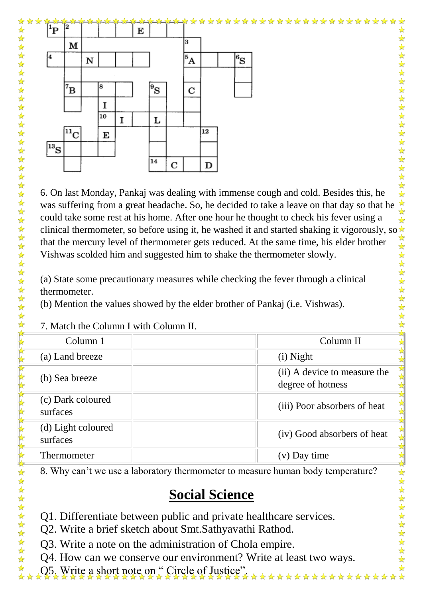

6. On last Monday, Pankaj was dealing with immense cough and cold. Besides this, he was suffering from a great headache. So, he decided to take a leave on that day so that he could take some rest at his home. After one hour he thought to check his fever using a clinical thermometer, so before using it, he washed it and started shaking it vigorously, so that the mercury level of thermometer gets reduced. At the same time, his elder brother that the mercury level of thermometer gets reduced. At the same time, his elder brother Vishwas scolded him and suggested him to shake the thermometer slowly.

(a) State some precautionary measures while checking the fever through a clinical thermometer.

(b) Mention the values showed by the elder brother of Pankaj (i.e. Vishwas).

## 7. Match the Column I with Column II.

| Column 1                       | Column II                                         |
|--------------------------------|---------------------------------------------------|
| (a) Land breeze                | (i) Night                                         |
| (b) Sea breeze                 | (ii) A device to measure the<br>degree of hotness |
| (c) Dark coloured<br>surfaces  | (iii) Poor absorbers of heat                      |
| (d) Light coloured<br>surfaces | (iv) Good absorbers of heat                       |
| Thermometer                    | Day time                                          |
|                                |                                                   |

8. Why can't we use a laboratory thermometer to measure human body temperature?

## **Social Science**

Q1. Differentiate between public and private healthcare services.

- Q2. Write a brief sketch about Smt.Sathyavathi Rathod.
- Q3. Write a note on the administration of Chola empire.

Q4. How can we conserve our environment? Write at least two ways.

Q5. Write a short note on " Circle of Justice".

 $\frac{1}{\sqrt{2}}$ 

\*\*\*\*\*\*\*\*\*\*